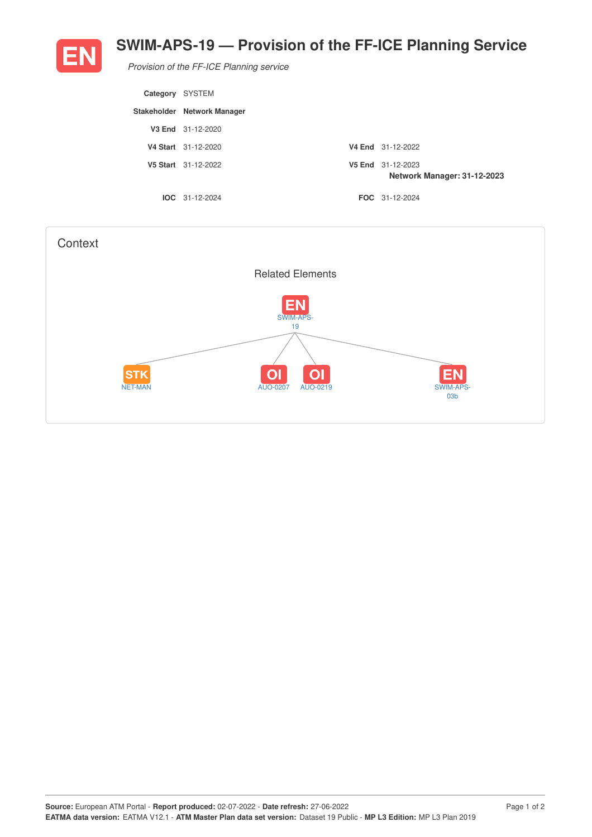

## **SWIM-APS-19 — Provision of the FF-ICE Planning Service**

*Provision of the FF-ICE Planning service*

| Category SYSTEM |                             |                                                  |
|-----------------|-----------------------------|--------------------------------------------------|
|                 | Stakeholder Network Manager |                                                  |
|                 | V3 End 31-12-2020           |                                                  |
|                 | V4 Start 31-12-2020         | V4 End 31-12-2022                                |
|                 | V5 Start 31-12-2022         | V5 End 31-12-2023<br>Network Manager: 31-12-2023 |
|                 | $IOC 31-12-2024$            | <b>FOC</b> 31-12-2024                            |